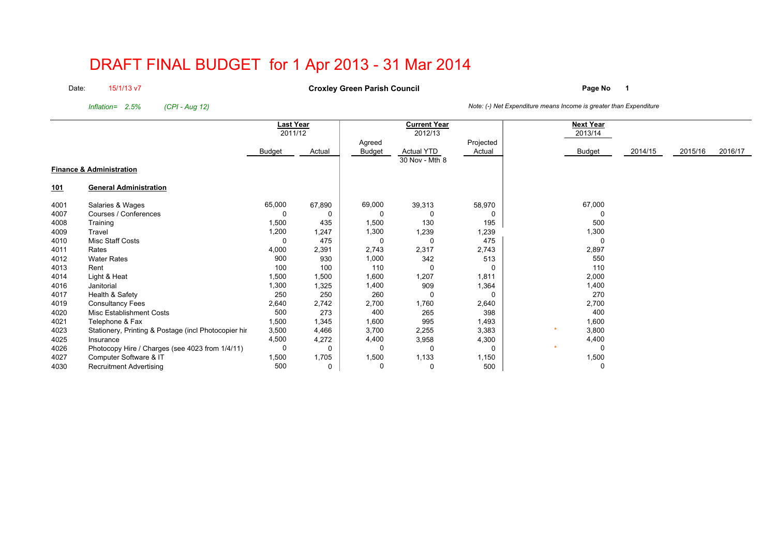# DRAFT FINAL BUDGET for 1 Apr 2013 - 31 Mar 2014

Date:15/1/13 v7

**Page No <sup>1</sup> Croxley Green Parish Council**

*Inflation= 2.5%*

*(CPI - Aug 12) Note: (-) Net Expenditure means Income is greater than Expenditure*

|            |                                                      | <b>Last Year</b><br>2011/12 |        |        | <b>Current Year</b><br>2012/13 |           | <b>Next Year</b><br>2013/14 |         |         |         |
|------------|------------------------------------------------------|-----------------------------|--------|--------|--------------------------------|-----------|-----------------------------|---------|---------|---------|
|            |                                                      |                             |        | Agreed |                                | Projected |                             |         |         |         |
|            |                                                      | Budget                      | Actual | Budget | <b>Actual YTD</b>              | Actual    | <b>Budget</b>               | 2014/15 | 2015/16 | 2016/17 |
|            |                                                      |                             |        |        | 30 Nov - Mth 8                 |           |                             |         |         |         |
|            | <b>Finance &amp; Administration</b>                  |                             |        |        |                                |           |                             |         |         |         |
| <u>101</u> | <b>General Administration</b>                        |                             |        |        |                                |           |                             |         |         |         |
| 4001       | Salaries & Wages                                     | 65,000                      | 67,890 | 69,000 | 39,313                         | 58,970    | 67,000                      |         |         |         |
| 4007       | Courses / Conferences                                | 0                           |        |        | $\Omega$                       | $\Omega$  |                             |         |         |         |
| 4008       | Training                                             | 1,500                       | 435    | 1,500  | 130                            | 195       | 500                         |         |         |         |
| 4009       | Travel                                               | 1,200                       | 1,247  | 1,300  | 1,239                          | 1,239     | 1,300                       |         |         |         |
| 4010       | Misc Staff Costs                                     | 0                           | 475    | 0      | 0                              | 475       | $\Omega$                    |         |         |         |
| 4011       | Rates                                                | 4,000                       | 2,391  | 2,743  | 2,317                          | 2,743     | 2,897                       |         |         |         |
| 4012       | <b>Water Rates</b>                                   | 900                         | 930    | 1,000  | 342                            | 513       | 550                         |         |         |         |
| 4013       | Rent                                                 | 100                         | 100    | 110    | 0                              |           | 110                         |         |         |         |
| 4014       | Light & Heat                                         | 1,500                       | 1,500  | 1,600  | 1,207                          | 1,811     | 2,000                       |         |         |         |
| 4016       | Janitorial                                           | 1,300                       | 1,325  | 1,400  | 909                            | 1,364     | 1,400                       |         |         |         |
| 4017       | Health & Safety                                      | 250                         | 250    | 260    | 0                              | $\Omega$  | 270                         |         |         |         |
| 4019       | <b>Consultancy Fees</b>                              | 2,640                       | 2,742  | 2,700  | 1,760                          | 2,640     | 2,700                       |         |         |         |
| 4020       | <b>Misc Establishment Costs</b>                      | 500                         | 273    | 400    | 265                            | 398       | 400                         |         |         |         |
| 4021       | Telephone & Fax                                      | 1,500                       | 1,345  | 1,600  | 995                            | 1,493     | 1,600                       |         |         |         |
| 4023       | Stationery, Printing & Postage (incl Photocopier hir | 3,500                       | 4,466  | 3,700  | 2,255                          | 3,383     | 3,800                       |         |         |         |
| 4025       | Insurance                                            | 4,500                       | 4,272  | 4,400  | 3,958                          | 4,300     | 4,400                       |         |         |         |
| 4026       | Photocopy Hire / Charges (see 4023 from 1/4/11)      | 0                           |        |        | $\Omega$                       | 0         | 0                           |         |         |         |
| 4027       | Computer Software & IT                               | 1,500                       | 1,705  | 1,500  | 1,133                          | 1,150     | 1,500                       |         |         |         |
| 4030       | <b>Recruitment Advertising</b>                       | 500                         | 0      | O      | $\mathbf 0$                    | 500       | $\Omega$                    |         |         |         |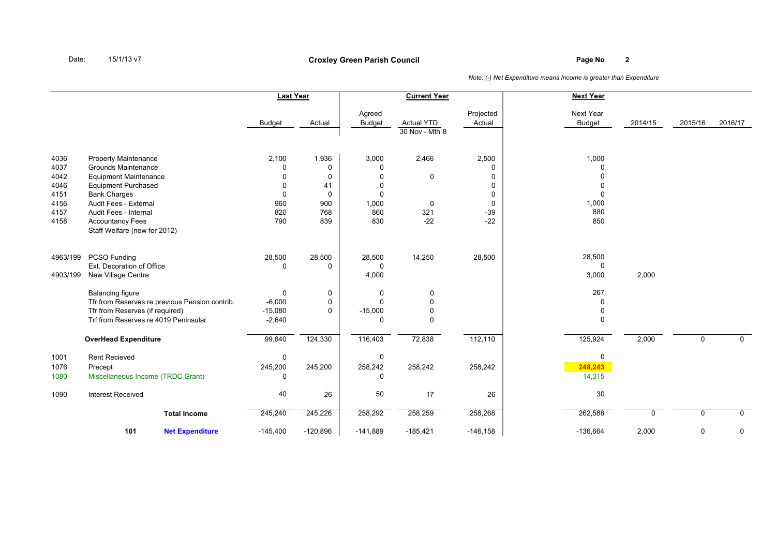## **Page No <sup>2</sup> Croxley Green Parish Council**

|                                                              |                                                                                                                                                                                                                                                             | <b>Last Year</b>                                                           |                                                                     |                                                                | <b>Current Year</b>                       |                                                                   | <b>Next Year</b>                                                         |              |             |              |
|--------------------------------------------------------------|-------------------------------------------------------------------------------------------------------------------------------------------------------------------------------------------------------------------------------------------------------------|----------------------------------------------------------------------------|---------------------------------------------------------------------|----------------------------------------------------------------|-------------------------------------------|-------------------------------------------------------------------|--------------------------------------------------------------------------|--------------|-------------|--------------|
|                                                              |                                                                                                                                                                                                                                                             | <b>Budget</b>                                                              | Actual                                                              | Agreed<br><b>Budget</b>                                        | <b>Actual YTD</b><br>30 Nov - Mth 8       | Projected<br>Actual                                               | Next Year<br><b>Budget</b>                                               | 2014/15      | 2015/16     | 2016/17      |
| 4036<br>4037<br>4042<br>4046<br>4151<br>4156<br>4157<br>4158 | <b>Property Maintenance</b><br><b>Grounds Maintenance</b><br><b>Equipment Maintenance</b><br><b>Equipment Purchased</b><br><b>Bank Charges</b><br>Audit Fees - External<br>Audit Fees - Internal<br><b>Accountancy Fees</b><br>Staff Welfare (new for 2012) | 2,100<br>$\Omega$<br>$\Omega$<br>$\Omega$<br>$\Omega$<br>960<br>820<br>790 | 1,936<br>$\mathbf 0$<br>0<br>41<br>$\mathbf 0$<br>900<br>768<br>839 | 3,000<br>0<br>$\Omega$<br>$\Omega$<br>0<br>1,000<br>860<br>830 | 2,466<br>$\mathbf 0$<br>0<br>321<br>$-22$ | 2,500<br>0<br>$\Omega$<br>0<br>0<br>$\mathbf 0$<br>$-39$<br>$-22$ | 1,000<br>$\Omega$<br>$\Omega$<br>0<br>$\mathbf 0$<br>1,000<br>880<br>850 |              |             |              |
| 4963/199<br>4903/199                                         | <b>PCSO Funding</b><br>Ext. Decoration of Office<br>New Village Centre                                                                                                                                                                                      | 28,500<br>$\mathbf 0$                                                      | 28,500<br>0                                                         | 28,500<br>0<br>4,000                                           | 14,250                                    | 28,500                                                            | 28,500<br>$\mathbf 0$<br>3,000                                           | 2,000        |             |              |
|                                                              | Balancing figure<br>Tfr from Reserves re previous Pension contrib.<br>Tfr from Reserves (if required)<br>Trf from Reserves re 4019 Peninsular                                                                                                               | $\mathbf{0}$<br>$-6,000$<br>$-15,080$<br>$-2,640$                          | 0<br>0<br>$\Omega$                                                  | 0<br>$\Omega$<br>$-15,000$<br>0                                | 0<br>$\mathbf{0}$<br>$\mathbf 0$<br>0     |                                                                   | 267<br>$\Omega$<br>$\mathbf 0$<br>$\Omega$                               |              |             |              |
|                                                              | <b>OverHead Expenditure</b>                                                                                                                                                                                                                                 | 99,840                                                                     | 124,330                                                             | 116,403                                                        | 72,838                                    | 112,110                                                           | 125,924                                                                  | 2,000        | $\mathbf 0$ | $\mathsf{O}$ |
| 1001<br>1076<br>1080                                         | <b>Rent Recieved</b><br>Precept<br>Miscellaneous Income (TRDC Grant)                                                                                                                                                                                        | 0<br>245,200<br>0                                                          | 245,200                                                             | 0<br>258,242<br>0                                              | 258,242                                   | 258,242                                                           | $\mathbf 0$<br>248,243<br>14,315                                         |              |             |              |
| 1090                                                         | <b>Interest Received</b>                                                                                                                                                                                                                                    | 40                                                                         | 26                                                                  | 50                                                             | 17                                        | 26                                                                | 30                                                                       |              |             |              |
|                                                              | <b>Total Income</b>                                                                                                                                                                                                                                         | 245,240                                                                    | 245,226                                                             | 258,292                                                        | 258,259                                   | 258,268                                                           | 262,588                                                                  | <sup>0</sup> | $\mathbf 0$ | $\mathsf{O}$ |
|                                                              | 101<br><b>Net Expenditure</b>                                                                                                                                                                                                                               | $-145,400$                                                                 | $-120,896$                                                          | $-141,889$                                                     | $-185,421$                                | $-146,158$                                                        | $-136,664$                                                               | 2,000        | 0           | 0            |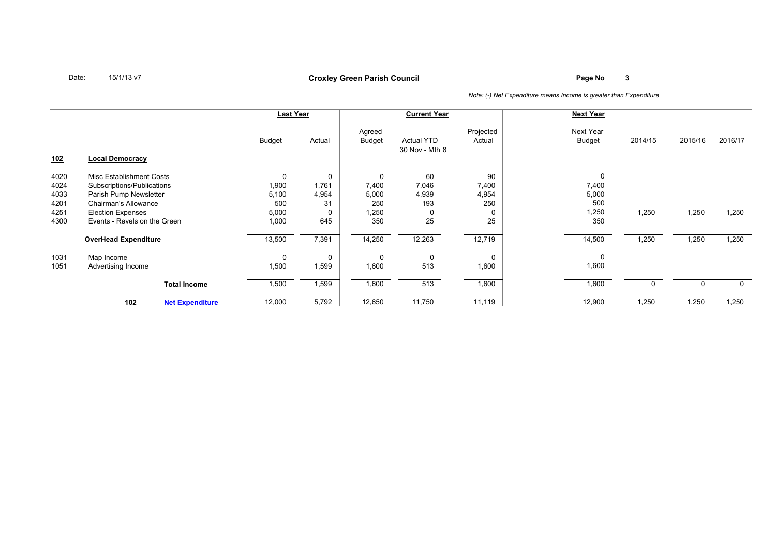## **Page No <sup>3</sup> Croxley Green Parish Council**

|                                              |                                                                                                                                                                             |                        | Last Year                                              |                                                        |                                                      | <b>Current Year</b>                    |                                               | <b>Next Year</b>                           |         |         |             |
|----------------------------------------------|-----------------------------------------------------------------------------------------------------------------------------------------------------------------------------|------------------------|--------------------------------------------------------|--------------------------------------------------------|------------------------------------------------------|----------------------------------------|-----------------------------------------------|--------------------------------------------|---------|---------|-------------|
|                                              |                                                                                                                                                                             |                        | Budget                                                 | Actual                                                 | Agreed<br><b>Budget</b>                              | <b>Actual YTD</b><br>30 Nov - Mth 8    | Projected<br>Actual                           | Next Year<br><b>Budget</b>                 | 2014/15 | 2015/16 | 2016/17     |
| <u>102</u>                                   | <b>Local Democracy</b>                                                                                                                                                      |                        |                                                        |                                                        |                                                      |                                        |                                               |                                            |         |         |             |
| 4020<br>4024<br>4033<br>4201<br>4251<br>4300 | Misc Establishment Costs<br>Subscriptions/Publications<br>Parish Pump Newsletter<br><b>Chairman's Allowance</b><br><b>Election Expenses</b><br>Events - Revels on the Green |                        | $\mathbf 0$<br>1,900<br>5,100<br>500<br>5,000<br>1,000 | $\mathbf 0$<br>1,761<br>4,954<br>31<br>$\Omega$<br>645 | $\mathbf 0$<br>7,400<br>5,000<br>250<br>1,250<br>350 | 60<br>7,046<br>4,939<br>193<br>0<br>25 | 90<br>7,400<br>4,954<br>250<br>$\Omega$<br>25 | 0<br>7,400<br>5,000<br>500<br>1,250<br>350 | 1,250   | 1,250   | 1,250       |
|                                              | <b>OverHead Expenditure</b>                                                                                                                                                 |                        | 13,500                                                 | 7,391                                                  | 14,250                                               | 12,263                                 | 12,719                                        | 14,500                                     | 1,250   | 1,250   | 1,250       |
| 1031<br>1051                                 | Map Income<br>Advertising Income                                                                                                                                            |                        | 0<br>1,500                                             | $\mathbf 0$<br>1,599                                   | 0<br>1,600                                           | 0<br>513                               | $\Omega$<br>1,600                             | 0<br>1,600                                 |         |         |             |
|                                              |                                                                                                                                                                             | <b>Total Income</b>    | 1,500                                                  | 1,599                                                  | 1,600                                                | 513                                    | 1,600                                         | 1,600                                      |         |         | $\mathbf 0$ |
|                                              | 102                                                                                                                                                                         | <b>Net Expenditure</b> | 12,000                                                 | 5,792                                                  | 12,650                                               | 11,750                                 | 11,119                                        | 12,900                                     | 1,250   | 1,250   | 1,250       |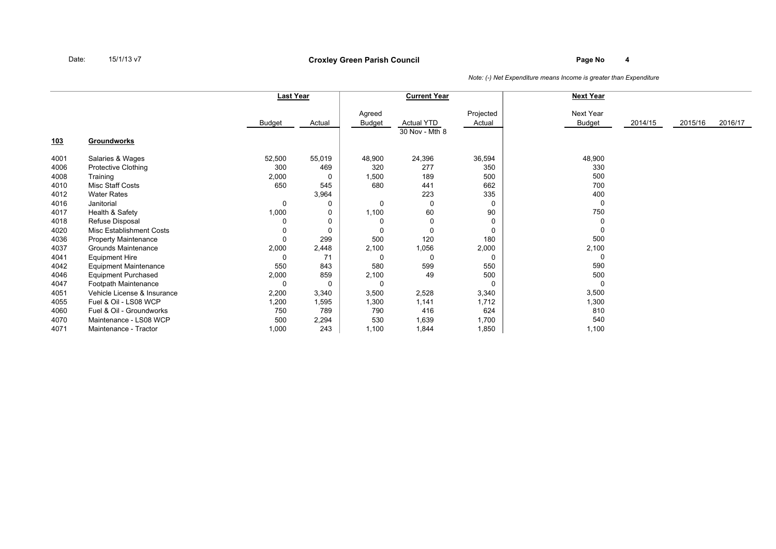## **Page No <sup>4</sup> Croxley Green Parish Council**

|            |                              | <b>Last Year</b> |          |                  | <b>Current Year</b>                 |                     | <b>Next Year</b>           |         |         |         |
|------------|------------------------------|------------------|----------|------------------|-------------------------------------|---------------------|----------------------------|---------|---------|---------|
| <u>103</u> | <b>Groundworks</b>           | <b>Budget</b>    | Actual   | Agreed<br>Budget | <b>Actual YTD</b><br>30 Nov - Mth 8 | Projected<br>Actual | Next Year<br><b>Budget</b> | 2014/15 | 2015/16 | 2016/17 |
|            |                              |                  |          |                  |                                     |                     |                            |         |         |         |
| 4001       | Salaries & Wages             | 52,500           | 55,019   | 48,900           | 24,396                              | 36,594              | 48,900                     |         |         |         |
| 4006       | Protective Clothing          | 300              | 469      | 320              | 277                                 | 350                 | 330                        |         |         |         |
| 4008       | Training                     | 2,000            | 0        | 1,500            | 189                                 | 500                 | 500                        |         |         |         |
| 4010       | Misc Staff Costs             | 650              | 545      | 680              | 441                                 | 662                 | 700                        |         |         |         |
| 4012       | <b>Water Rates</b>           |                  | 3,964    |                  | 223                                 | 335                 | 400                        |         |         |         |
| 4016       | Janitorial                   | $\Omega$         | 0        | 0                | $\Omega$                            | 0                   | 0                          |         |         |         |
| 4017       | Health & Safety              | 1,000            | 0        | 1,100            | 60                                  | 90                  | 750                        |         |         |         |
| 4018       | Refuse Disposal              | 0                | 0        |                  |                                     |                     | 0                          |         |         |         |
| 4020       | Misc Establishment Costs     | 0                | $\Omega$ | 0                | $\Omega$                            | $\Omega$            |                            |         |         |         |
| 4036       | <b>Property Maintenance</b>  | 0                | 299      | 500              | 120                                 | 180                 | 500                        |         |         |         |
| 4037       | Grounds Maintenance          | 2,000            | 2,448    | 2,100            | 1,056                               | 2,000               | 2,100                      |         |         |         |
| 4041       | <b>Equipment Hire</b>        | $\Omega$         | 71       | 0                | $\Omega$                            | $\Omega$            | $\Omega$                   |         |         |         |
| 4042       | <b>Equipment Maintenance</b> | 550              | 843      | 580              | 599                                 | 550                 | 590                        |         |         |         |
| 4046       | <b>Equipment Purchased</b>   | 2,000            | 859      | 2,100            | 49                                  | 500                 | 500                        |         |         |         |
| 4047       | Footpath Maintenance         | 0                | $\Omega$ | 0                |                                     |                     | $\Omega$                   |         |         |         |
| 4051       | Vehicle License & Insurance  | 2,200            | 3,340    | 3,500            | 2,528                               | 3,340               | 3,500                      |         |         |         |
| 4055       | Fuel & Oil - LS08 WCP        | 1,200            | 1,595    | 1,300            | 1,141                               | 1,712               | 1,300                      |         |         |         |
| 4060       | Fuel & Oil - Groundworks     | 750              | 789      | 790              | 416                                 | 624                 | 810                        |         |         |         |
| 4070       | Maintenance - LS08 WCP       | 500              | 2,294    | 530              | 1,639                               | 1,700               | 540                        |         |         |         |
| 4071       | Maintenance - Tractor        | 1,000            | 243      | 1,100            | 1,844                               | 1,850               | 1,100                      |         |         |         |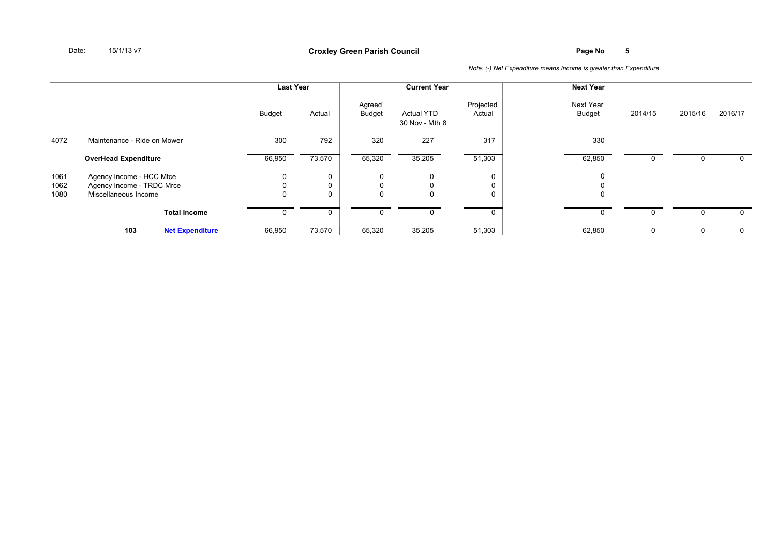|                      |                                                                               |                        | <b>Last Year</b>            |        |                             | <b>Current Year</b>                 |                           | <b>Next Year</b>                |         |         |         |
|----------------------|-------------------------------------------------------------------------------|------------------------|-----------------------------|--------|-----------------------------|-------------------------------------|---------------------------|---------------------------------|---------|---------|---------|
|                      |                                                                               |                        | Budget                      | Actual | Agreed<br>Budget            | <b>Actual YTD</b><br>30 Nov - Mth 8 | Projected<br>Actual       | Next Year<br>Budget             | 2014/15 | 2015/16 | 2016/17 |
| 4072                 | Maintenance - Ride on Mower                                                   |                        | 300                         | 792    | 320                         | 227                                 | 317                       | 330                             |         |         |         |
|                      | <b>OverHead Expenditure</b>                                                   |                        | 66,950                      | 73,570 | 65,320                      | 35,205                              | 51,303                    | 62,850                          | 0       | 0       |         |
| 1061<br>1062<br>1080 | Agency Income - HCC Mtce<br>Agency Income - TRDC Mrce<br>Miscellaneous Income |                        | $\mathbf 0$<br>$\mathbf{0}$ | U      | $\mathbf 0$<br>$\mathbf{0}$ | 0<br>0<br>0                         | 0<br>$\Omega$<br>$\Omega$ | $\mathbf 0$<br>0<br>$\mathbf 0$ |         |         |         |
|                      |                                                                               | <b>Total Income</b>    |                             |        |                             |                                     |                           | O                               |         |         |         |
|                      | 103                                                                           | <b>Net Expenditure</b> | 66,950                      | 73,570 | 65,320                      | 35,205                              | 51,303                    | 62,850                          | 0       | 0       | 0       |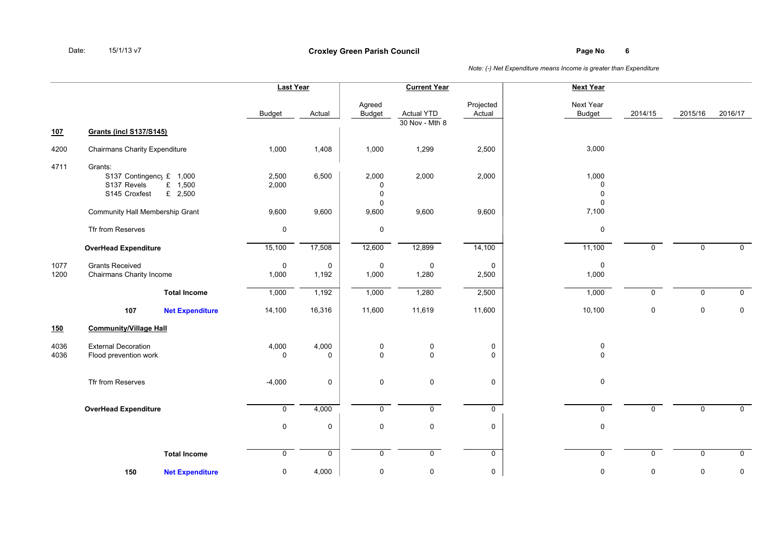|              |                                                                                             | <b>Last Year</b>     |                      |                                          | <b>Current Year</b>                 |                     | <b>Next Year</b>                         |              |             |              |
|--------------|---------------------------------------------------------------------------------------------|----------------------|----------------------|------------------------------------------|-------------------------------------|---------------------|------------------------------------------|--------------|-------------|--------------|
|              |                                                                                             | <b>Budget</b>        | Actual               | Agreed<br><b>Budget</b>                  | <b>Actual YTD</b><br>30 Nov - Mth 8 | Projected<br>Actual | Next Year<br><b>Budget</b>               | 2014/15      | 2015/16     | 2016/17      |
| 107          | <b>Grants (incl S137/S145)</b>                                                              |                      |                      |                                          |                                     |                     |                                          |              |             |              |
| 4200         | <b>Chairmans Charity Expenditure</b>                                                        | 1,000                | 1,408                | 1,000                                    | 1,299                               | 2,500               | 3,000                                    |              |             |              |
| 4711         | Grants:<br>S137 Contingency £ 1,000<br>S137 Revels<br>£ 1,500<br>£ $2,500$<br>S145 Croxfest | 2,500<br>2,000       | 6,500                | 2,000<br>0<br>$\mathbf 0$<br>$\mathbf 0$ | 2,000                               | 2,000               | 1,000<br>0<br>$\mathbf 0$<br>$\mathbf 0$ |              |             |              |
|              | Community Hall Membership Grant                                                             | 9,600                | 9,600                | 9,600                                    | 9,600                               | 9,600               | 7,100                                    |              |             |              |
|              | Tfr from Reserves                                                                           | $\pmb{0}$            |                      | $\pmb{0}$                                |                                     |                     | $\pmb{0}$                                |              |             |              |
|              | <b>OverHead Expenditure</b>                                                                 | 15,100               | 17,508               | 12,600                                   | 12,899                              | 14,100              | 11,100                                   | $\mathsf{O}$ | $\mathbf 0$ | $\mathbf 0$  |
| 1077<br>1200 | <b>Grants Received</b><br>Chairmans Charity Income                                          | $\mathbf 0$<br>1,000 | $\mathbf 0$<br>1,192 | $\pmb{0}$<br>1,000                       | $\mathbf 0$<br>1,280                | $\pmb{0}$<br>2,500  | $\mathsf 0$<br>1,000                     |              |             |              |
|              | <b>Total Income</b>                                                                         | 1,000                | 1,192                | 1,000                                    | 1,280                               | 2,500               | 1,000                                    | $\mathsf{O}$ | $\mathbf 0$ | $\mathsf{O}$ |
|              | 107<br><b>Net Expenditure</b>                                                               | 14,100               | 16,316               | 11,600                                   | 11,619                              | 11,600              | 10,100                                   | $\pmb{0}$    | $\mathbf 0$ | $\pmb{0}$    |
| 150          | <b>Community/Village Hall</b>                                                               |                      |                      |                                          |                                     |                     |                                          |              |             |              |
| 4036<br>4036 | <b>External Decoration</b><br>Flood prevention work                                         | 4,000<br>$\mathbf 0$ | 4,000<br>$\mathbf 0$ | $\pmb{0}$<br>0                           | $\pmb{0}$<br>$\mathbf 0$            | $\pmb{0}$<br>0      | $\pmb{0}$<br>$\mathbf 0$                 |              |             |              |
|              | Tfr from Reserves                                                                           | $-4,000$             | 0                    | $\pmb{0}$                                | $\mathbf 0$                         | 0                   | $\mathbf 0$                              |              |             |              |
|              | <b>OverHead Expenditure</b>                                                                 | $\mathbf 0$          | 4,000                | $\mathbf 0$                              | $\mathbf 0$                         | $\mathbf 0$         | $\mathbf 0$                              | 0            | 0           | $\mathbf 0$  |
|              |                                                                                             | $\mathsf{O}$         | 0                    | 0                                        | $\mathbf 0$                         | 0                   | $\mathbf 0$                              |              |             |              |
|              | <b>Total Income</b>                                                                         | $\mathbf 0$          | 0                    | $\mathbf 0$                              | $\mathbf 0$                         | 0                   | $\mathbf 0$                              | $\mathbf 0$  | 0           | $\mathbf 0$  |
|              | <b>Net Expenditure</b><br>150                                                               | 0                    | 4,000                | $\pmb{0}$                                | $\mathsf 0$                         | 0                   | 0                                        | 0            | $\pmb{0}$   | 0            |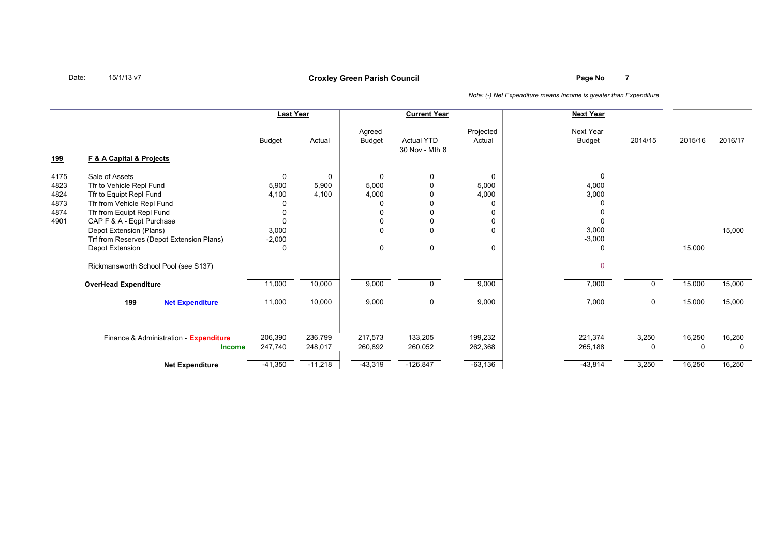## **Page No <sup>7</sup> Croxley Green Parish Council**

*Note: (-) Net Expenditure means Income is greater than Expenditure*

|            |                                           | <b>Last Year</b> |           |                         | <b>Current Year</b>                 |                     | <b>Next Year</b>           |             |          |         |
|------------|-------------------------------------------|------------------|-----------|-------------------------|-------------------------------------|---------------------|----------------------------|-------------|----------|---------|
|            | <b>F &amp; A Capital &amp; Projects</b>   | Budget           | Actual    | Agreed<br><b>Budget</b> | <b>Actual YTD</b><br>30 Nov - Mth 8 | Projected<br>Actual | Next Year<br><b>Budget</b> | 2014/15     | 2015/16  | 2016/17 |
| <u>199</u> |                                           |                  |           |                         |                                     |                     |                            |             |          |         |
| 4175       | Sale of Assets                            | $\mathbf 0$      | 0         | $\mathbf 0$             | $\mathbf 0$                         | 0                   | $\mathbf 0$                |             |          |         |
| 4823       | Tfr to Vehicle Repl Fund                  | 5,900            | 5,900     | 5,000                   | $\mathbf{0}$                        | 5,000               | 4,000                      |             |          |         |
| 4824       | Tfr to Equipt Repl Fund                   | 4,100            | 4,100     | 4,000                   | $\mathbf 0$                         | 4,000               | 3,000                      |             |          |         |
| 4873       | Tfr from Vehicle Repl Fund                |                  |           |                         | $\mathbf 0$                         |                     |                            |             |          |         |
| 4874       | Tfr from Equipt Repl Fund                 | $\Omega$         |           |                         | $\mathbf 0$                         |                     |                            |             |          |         |
| 4901       | CAP F & A - Eqpt Purchase                 | $\Omega$         |           |                         | $\mathbf 0$                         | 0                   | $\Omega$                   |             |          |         |
|            | Depot Extension (Plans)                   | 3,000            |           | 0                       | $\mathbf 0$                         | $\Omega$            | 3,000                      |             |          | 15,000  |
|            | Trf from Reserves (Depot Extension Plans) | $-2,000$         |           |                         |                                     |                     | $-3,000$                   |             |          |         |
|            | Depot Extension                           | $\Omega$         |           | 0                       | $\mathbf 0$                         | 0                   | 0                          |             | 15,000   |         |
|            | Rickmansworth School Pool (see S137)      |                  |           |                         |                                     |                     | $\Omega$                   |             |          |         |
|            | <b>OverHead Expenditure</b>               | 11,000           | 10,000    | 9,000                   | $\mathbf 0$                         | 9,000               | 7,000                      |             | 15,000   | 15,000  |
|            | 199<br><b>Net Expenditure</b>             | 11,000           | 10,000    | 9,000                   | $\mathbf 0$                         | 9,000               | 7,000                      | $\mathbf 0$ | 15,000   | 15,000  |
|            | Finance & Administration - Expenditure    | 206,390          | 236,799   | 217,573                 | 133,205                             | 199,232             | 221,374                    | 3,250       | 16,250   | 16,250  |
|            | <b>Income</b>                             | 247,740          | 248,017   | 260,892                 | 260,052                             | 262,368             | 265,188                    | 0           | $\Omega$ | 0       |
|            | <b>Net Expenditure</b>                    | $-41,350$        | $-11,218$ | $-43,319$               | $-126,847$                          | $-63,136$           | $-43,814$                  | 3,250       | 16,250   | 16,250  |

Date:15/1/13 v7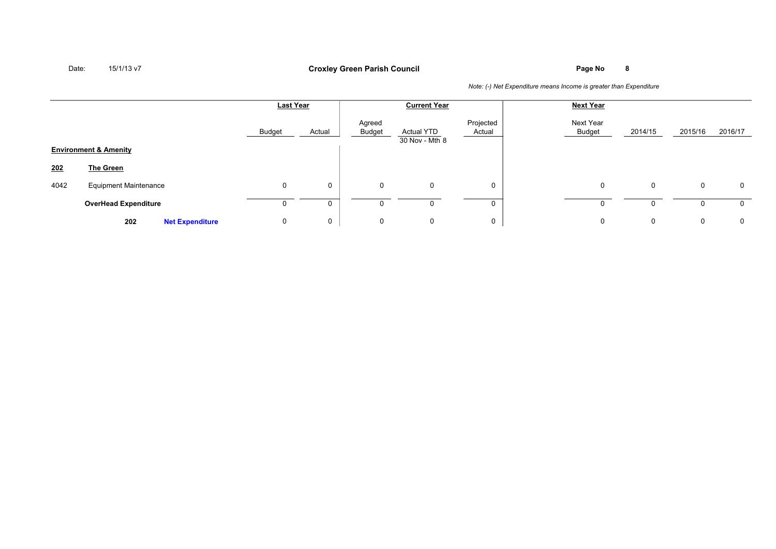## **Page No <sup>8</sup> Croxley Green Parish Council**

|      |                                  | <b>Last Year</b> |             |                  | <b>Current Year</b>                 |                     | <b>Next Year</b>           |             |         |         |
|------|----------------------------------|------------------|-------------|------------------|-------------------------------------|---------------------|----------------------------|-------------|---------|---------|
|      |                                  | <b>Budget</b>    | Actual      | Agreed<br>Budget | <b>Actual YTD</b><br>30 Nov - Mth 8 | Projected<br>Actual | Next Year<br><b>Budget</b> | 2014/15     | 2015/16 | 2016/17 |
|      | <b>Environment &amp; Amenity</b> |                  |             |                  |                                     |                     |                            |             |         |         |
| 202  | The Green                        |                  |             |                  |                                     |                     |                            |             |         |         |
| 4042 | <b>Equipment Maintenance</b>     | 0                | $\mathbf 0$ | 0                | 0                                   | 0                   | $\mathbf 0$                | 0           | 0       | 0       |
|      | <b>OverHead Expenditure</b>      |                  | 0           | 0                |                                     |                     | $\Omega$                   | 0           |         | 0       |
|      | 202<br><b>Net Expenditure</b>    | 0                | 0           | 0                | $\mathbf 0$                         | 0                   | $\mathbf 0$                | $\mathbf 0$ | 0       | 0       |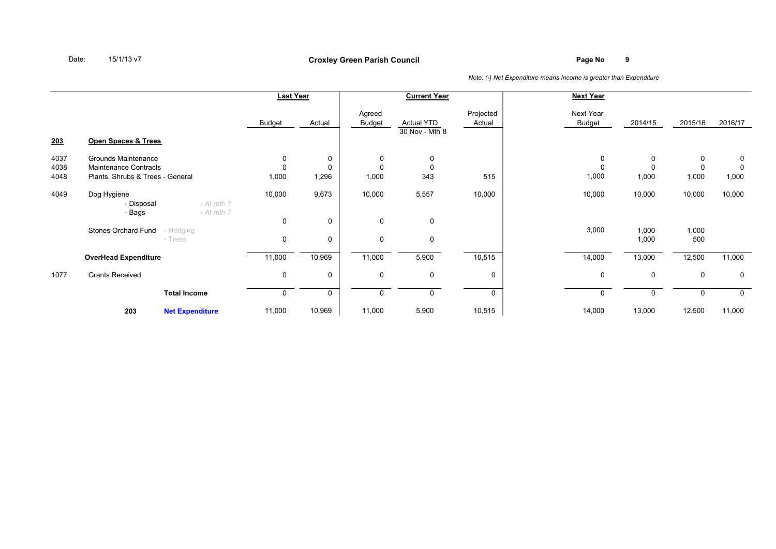## **Page No <sup>9</sup> Croxley Green Parish Council**

|      |                                  |                        | <b>Last Year</b> |             |                         | <b>Current Year</b>                 |                     | <b>Next Year</b>    |              |              |         |
|------|----------------------------------|------------------------|------------------|-------------|-------------------------|-------------------------------------|---------------------|---------------------|--------------|--------------|---------|
| 203  | Open Spaces & Trees              |                        | Budget           | Actual      | Agreed<br><b>Budget</b> | <b>Actual YTD</b><br>30 Nov - Mth 8 | Projected<br>Actual | Next Year<br>Budget | 2014/15      | 2015/16      | 2016/17 |
| 4037 | Grounds Maintenance              |                        | 0                | 0           | 0                       | 0                                   |                     | 0                   | 0            | 0            | 0       |
| 4038 | Maintenance Contracts            |                        | $\Omega$         | 0           | $\Omega$                | 0                                   |                     | $\mathbf 0$         | 0            | $\mathbf{0}$ | 0       |
| 4048 | Plants. Shrubs & Trees - General |                        | 1,000            | 1,296       | 1,000                   | 343                                 | 515                 | 1,000               | 1,000        | 1,000        | 1,000   |
|      |                                  |                        |                  |             |                         |                                     |                     |                     |              |              |         |
| 4049 | Dog Hygiene                      |                        | 10,000           | 9,673       | 10,000                  | 5,557                               | 10,000              | 10,000              | 10,000       | 10,000       | 10,000  |
|      | - Disposal                       | > At mth?              |                  |             |                         |                                     |                     |                     |              |              |         |
|      | - Bags                           | $\rightarrow$ At mth ? |                  |             |                         |                                     |                     |                     |              |              |         |
|      |                                  |                        | $\mathbf 0$      | 0           | $\mathbf 0$             | 0                                   |                     |                     |              |              |         |
|      | Stones Orchard Fund<br>- Hedging |                        |                  |             |                         |                                     |                     | 3,000               | 1,000        | 1,000        |         |
|      | - Trees                          |                        | 0                | 0           | $\mathbf 0$             | 0                                   |                     |                     | 1,000        | 500          |         |
|      |                                  |                        |                  |             |                         |                                     |                     |                     |              |              |         |
|      | <b>OverHead Expenditure</b>      |                        | 11,000           | 10,969      | 11,000                  | 5,900                               | 10,515              | 14,000              | 13,000       | 12,500       | 11,000  |
| 1077 | <b>Grants Received</b>           |                        | 0                | $\mathbf 0$ | 0                       | 0                                   | 0                   | 0                   | 0            | 0            | 0       |
|      |                                  |                        |                  |             |                         |                                     |                     |                     |              |              |         |
|      |                                  | <b>Total Income</b>    | n                | 0           | $\Omega$                | $\mathbf{0}$                        | $\Omega$            | $\Omega$            | $\mathbf{0}$ | $\Omega$     | 0       |
|      | 203                              | <b>Net Expenditure</b> | 11,000           | 10,969      | 11,000                  | 5,900                               | 10,515              | 14,000              | 13,000       | 12,500       | 11,000  |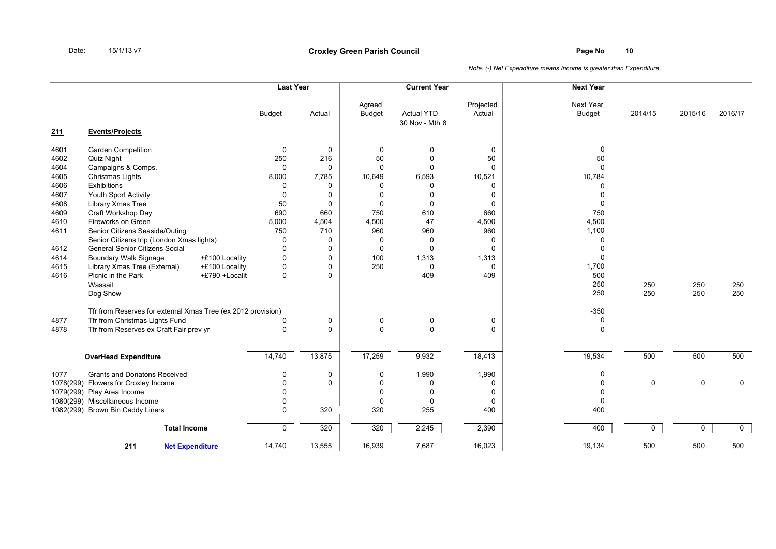|           |                                                              |                | <b>Last Year</b>    |                         | <b>Current Year</b>                 |                     | <b>Next Year</b>           |              |             |              |
|-----------|--------------------------------------------------------------|----------------|---------------------|-------------------------|-------------------------------------|---------------------|----------------------------|--------------|-------------|--------------|
|           |                                                              | <b>Budget</b>  | Actual              | Agreed<br><b>Budget</b> | <b>Actual YTD</b><br>30 Nov - Mth 8 | Projected<br>Actual | Next Year<br><b>Budget</b> | 2014/15      | 2015/16     | 2016/17      |
| 211       | <b>Events/Projects</b>                                       |                |                     |                         |                                     |                     |                            |              |             |              |
| 4601      | <b>Garden Competition</b>                                    |                | 0<br>0              | 0                       | $\mathbf 0$                         | 0                   | $\mathbf 0$                |              |             |              |
| 4602      | Quiz Night                                                   | 250            | 216                 | 50                      | $\mathbf 0$                         | 50                  | 50                         |              |             |              |
| 4604      | Campaigns & Comps.                                           |                | 0<br>$\mathbf 0$    | $\mathbf 0$             | $\mathbf 0$                         | $\mathbf 0$         | $\Omega$                   |              |             |              |
| 4605      | Christmas Lights                                             | 8,000          | 7,785               | 10,649                  | 6,593                               | 10,521              | 10,784                     |              |             |              |
| 4606      | Exhibitions                                                  |                | 0<br>$\Omega$       | $\Omega$                | $\Omega$                            | 0                   | $\Omega$                   |              |             |              |
| 4607      | Youth Sport Activity                                         |                | 0<br>$\Omega$       | $\mathbf{0}$            | $\Omega$                            | 0                   | $\mathbf 0$                |              |             |              |
| 4608      | Library Xmas Tree                                            | 50             | 0                   | $\mathsf 0$             | $\mathbf 0$                         | 0                   | 0                          |              |             |              |
| 4609      | Craft Workshop Day                                           | 690            | 660                 | 750                     | 610                                 | 660                 | 750                        |              |             |              |
| 4610      | Fireworks on Green                                           | 5,000          | 4,504               | 4,500                   | 47                                  | 4,500               | 4,500                      |              |             |              |
| 4611      | Senior Citizens Seaside/Outing                               | 750            | 710                 | 960                     | 960                                 | 960                 | 1,100                      |              |             |              |
|           | Senior Citizens trip (London Xmas lights)                    |                | 0<br>0              | 0                       | 0                                   | 0                   | 0                          |              |             |              |
| 4612      | <b>General Senior Citizens Social</b>                        |                | $\Omega$<br>0       | $\mathbf 0$             | $\Omega$                            | 0                   | $\mathbf 0$                |              |             |              |
| 4614      | <b>Boundary Walk Signage</b>                                 | +£100 Locality | $\mathbf 0$<br>0    | 100                     | 1,313                               | 1,313               | $\mathbf 0$                |              |             |              |
| 4615      | Library Xmas Tree (External)                                 | +£100 Locality | 0<br>$\Omega$       | 250                     | $\mathbf 0$                         | 0                   | 1,700                      |              |             |              |
| 4616      | Picnic in the Park                                           | +£790 +Localit | $\Omega$<br>0       |                         | 409                                 | 409                 | 500                        |              |             |              |
|           | Wassail                                                      |                |                     |                         |                                     |                     | 250                        | 250          | 250         | 250          |
|           | Dog Show                                                     |                |                     |                         |                                     |                     | 250                        | 250          | 250         | 250          |
|           | Tfr from Reserves for external Xmas Tree (ex 2012 provision) |                |                     |                         |                                     |                     | $-350$                     |              |             |              |
| 4877      | Tfr from Christmas Lights Fund                               |                | 0<br>$\Omega$       | $\mathbf 0$             | $\mathbf 0$                         | 0                   | 0                          |              |             |              |
| 4878      | Tfr from Reserves ex Craft Fair prev yr                      |                | 0<br>$\Omega$       | $\mathbf 0$             | $\mathbf 0$                         | 0                   | $\mathbf 0$                |              |             |              |
|           |                                                              |                |                     |                         |                                     |                     |                            |              |             |              |
|           | <b>OverHead Expenditure</b>                                  | 14,740         | 13,875              | 17,259                  | 9,932                               | 18,413              | 19,534                     | 500          | 500         | 500          |
| 1077      | <b>Grants and Donatons Received</b>                          |                | 0<br>$\mathbf 0$    | 0                       | 1,990                               | 1,990               | 0                          |              |             |              |
| 1078(299) | Flowers for Croxley Income                                   |                | 0<br>$\Omega$       | $\Omega$                | 0                                   | 0                   | 0                          | $\mathbf 0$  | $\mathbf 0$ | $\mathbf 0$  |
|           | 1079(299) Play Area Income                                   |                | O                   | 0                       | 0                                   | 0                   | 0                          |              |             |              |
|           | 1080(299) Miscellaneous Income                               |                | $\Omega$            | $\mathbf 0$             | $\mathbf 0$                         | 0                   | $\mathbf 0$                |              |             |              |
|           | 1082(299) Brown Bin Caddy Liners                             |                | 320<br>$\Omega$     | 320                     | 255                                 | 400                 | 400                        |              |             |              |
|           | <b>Total Income</b>                                          |                | $\mathsf{O}$<br>320 | 320                     | 2,245                               | 2,390               | 400                        | $\mathsf{O}$ | 0           | $\mathbf{0}$ |
|           | 211<br><b>Net Expenditure</b>                                | 14,740         | 13,555              | 16,939                  | 7,687                               | 16,023              | 19,134                     | 500          | 500         | 500          |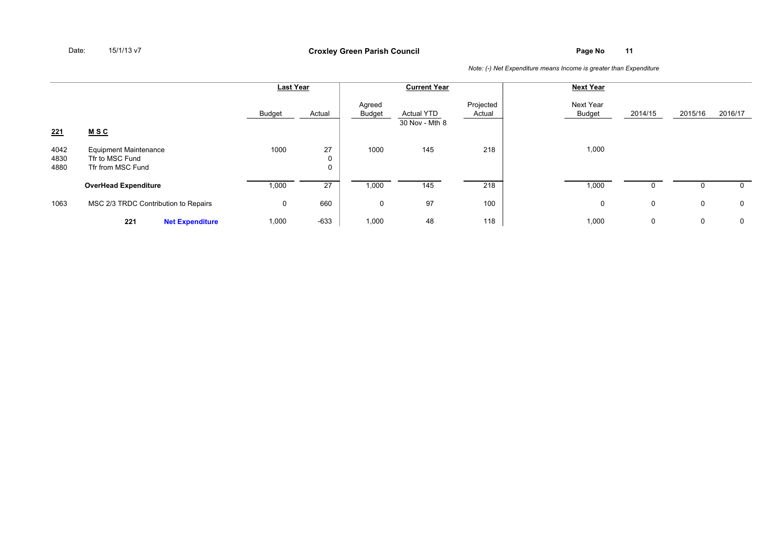|                      |                                                                      |                        | <b>Last Year</b> |                         |                  | <b>Current Year</b>                 |                     | <b>Next Year</b>    |         |             |         |
|----------------------|----------------------------------------------------------------------|------------------------|------------------|-------------------------|------------------|-------------------------------------|---------------------|---------------------|---------|-------------|---------|
|                      |                                                                      |                        | Budget           | Actual                  | Agreed<br>Budget | <b>Actual YTD</b><br>30 Nov - Mth 8 | Projected<br>Actual | Next Year<br>Budget | 2014/15 | 2015/16     | 2016/17 |
| <u>221</u>           | <u>MSC</u>                                                           |                        |                  |                         |                  |                                     |                     |                     |         |             |         |
| 4042<br>4830<br>4880 | <b>Equipment Maintenance</b><br>Tfr to MSC Fund<br>Tfr from MSC Fund |                        | 1000             | 27<br>0<br>$\mathbf{0}$ | 1000             | 145                                 | 218                 | 1,000               |         |             |         |
|                      | <b>OverHead Expenditure</b>                                          |                        | 1,000            | 27                      | 1,000            | 145                                 | 218                 | 1,000               | 0       |             | 0       |
| 1063                 | MSC 2/3 TRDC Contribution to Repairs                                 |                        | 0                | 660                     | 0                | 97                                  | 100                 | $\mathbf 0$         | 0       | 0           | 0       |
|                      | 221                                                                  | <b>Net Expenditure</b> | 1,000            | $-633$                  | 1,000            | 48                                  | 118                 | 1,000               | 0       | $\mathbf 0$ | 0       |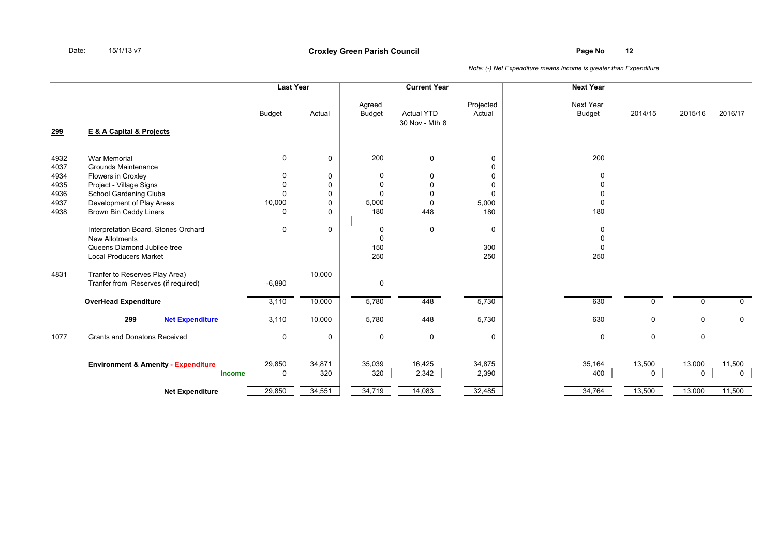|                                                      |                                                                                                                                                                                                                                                                                            | <b>Last Year</b>                                   |                                                                                   |                                              | <b>Current Year</b>                                                                 |                                                                                               | <b>Next Year</b>                                                      |                            |                       |                                    |
|------------------------------------------------------|--------------------------------------------------------------------------------------------------------------------------------------------------------------------------------------------------------------------------------------------------------------------------------------------|----------------------------------------------------|-----------------------------------------------------------------------------------|----------------------------------------------|-------------------------------------------------------------------------------------|-----------------------------------------------------------------------------------------------|-----------------------------------------------------------------------|----------------------------|-----------------------|------------------------------------|
| <u>299</u>                                           | E & A Capital & Projects                                                                                                                                                                                                                                                                   | <b>Budget</b>                                      | Actual                                                                            | Agreed<br><b>Budget</b>                      | <b>Actual YTD</b><br>30 Nov - Mth 8                                                 | Projected<br>Actual                                                                           | Next Year<br><b>Budget</b>                                            | 2014/15                    | 2015/16               | 2016/17                            |
| 4932<br>4037<br>4934<br>4935<br>4936<br>4937<br>4938 | <b>War Memorial</b><br><b>Grounds Maintenance</b><br>Flowers in Croxley<br>Project - Village Signs<br>School Gardening Clubs<br>Development of Play Areas<br><b>Brown Bin Caddy Liners</b><br>Interpretation Board, Stones Orchard<br><b>New Allotments</b><br>Queens Diamond Jubilee tree | 0<br>0<br>0<br>$\Omega$<br>10,000<br>ŋ<br>$\Omega$ | $\mathbf 0$<br>0<br>$\mathbf 0$<br>0<br>$\mathbf 0$<br>$\mathbf 0$<br>$\mathbf 0$ | 200<br>0<br>0<br>0<br>5,000<br>180<br>0<br>0 | $\mathbf 0$<br>0<br>$\mathbf 0$<br>$\mathbf 0$<br>$\mathbf 0$<br>448<br>$\mathbf 0$ | 0<br>$\mathbf{0}$<br>$\mathbf 0$<br>$\mathbf 0$<br>$\mathbf 0$<br>5,000<br>180<br>$\mathbf 0$ | 200<br>0<br>$\Omega$<br>0<br>$\mathbf 0$<br>180<br>0<br>0<br>$\Omega$ |                            |                       |                                    |
| 4831                                                 | <b>Local Producers Market</b><br>Tranfer to Reserves Play Area)<br>Tranfer from Reserves (if required)<br><b>OverHead Expenditure</b>                                                                                                                                                      | $-6,890$<br>3,110                                  | 10,000<br>10,000                                                                  | 150<br>250<br>0<br>5,780                     | 448                                                                                 | 300<br>250<br>5,730                                                                           | 250<br>630                                                            | $\mathbf{0}$               | 0                     | $\mathbf 0$                        |
| 1077                                                 | 299<br><b>Net Expenditure</b><br><b>Grants and Donatons Received</b>                                                                                                                                                                                                                       | 3,110<br>0                                         | 10,000<br>$\mathbf 0$                                                             | 5,780<br>0                                   | 448<br>$\mathbf 0$                                                                  | 5,730<br>$\mathbf 0$                                                                          | 630<br>0                                                              | $\mathbf 0$<br>$\mathbf 0$ | 0<br>0                | $\mathbf 0$                        |
|                                                      | <b>Environment &amp; Amenity - Expenditure</b><br><b>Income</b><br><b>Net Expenditure</b>                                                                                                                                                                                                  | 29,850<br>$\mathbf 0$<br>29,850                    | 34,871<br>320<br>34,551                                                           | 35,039<br>320<br>34,719                      | 16,425<br>2,342<br>14,083                                                           | 34,875<br>2,390<br>32,485                                                                     | 35,164<br>400<br>34,764                                               | 13,500<br>0<br>13,500      | 13,000<br>0<br>13,000 | 11,500<br>$\overline{0}$<br>11,500 |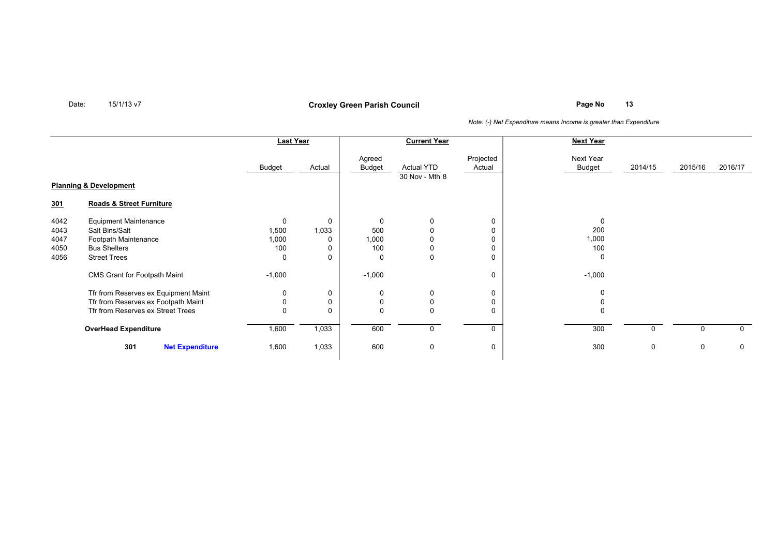**Page No <sup>13</sup> Croxley Green Parish Council**

|                                      |                                                                                                                      | <b>Last Year</b>                |             | <b>Current Year</b>                     |                              |                       | <b>Next Year</b>                        |              |             |              |
|--------------------------------------|----------------------------------------------------------------------------------------------------------------------|---------------------------------|-------------|-----------------------------------------|------------------------------|-----------------------|-----------------------------------------|--------------|-------------|--------------|
|                                      |                                                                                                                      | <b>Budget</b>                   | Actual      | Agreed<br>Budget                        | Actual YTD<br>30 Nov - Mth 8 | Projected<br>Actual   | Next Year<br><b>Budget</b>              | 2014/15      | 2015/16     | 2016/17      |
|                                      | <b>Planning &amp; Development</b>                                                                                    |                                 |             |                                         |                              |                       |                                         |              |             |              |
| 301                                  | <b>Roads &amp; Street Furniture</b>                                                                                  |                                 |             |                                         |                              |                       |                                         |              |             |              |
| 4042<br>4043<br>4047<br>4050<br>4056 | <b>Equipment Maintenance</b><br>Salt Bins/Salt<br>Footpath Maintenance<br><b>Bus Shelters</b><br><b>Street Trees</b> | 0<br>1,500<br>1,000<br>100<br>0 | 0<br>1,033  | $\mathbf 0$<br>500<br>1,000<br>100<br>0 | 0<br>0<br>0                  | 0<br>0<br>0<br>0<br>0 | $\mathbf 0$<br>200<br>1,000<br>100<br>0 |              |             |              |
|                                      | CMS Grant for Footpath Maint                                                                                         | $-1,000$                        |             | $-1,000$                                |                              | 0                     | $-1,000$                                |              |             |              |
|                                      | Tfr from Reserves ex Equipment Maint<br>Tfr from Reserves ex Footpath Maint<br>Tfr from Reserves ex Street Trees     | 0<br>0<br>$\Omega$              | 0<br>0<br>0 | 0                                       | 0<br>0<br>0                  | 0<br>0<br>0           | 0<br>$\Omega$                           |              |             |              |
|                                      | <b>OverHead Expenditure</b>                                                                                          | 1,600                           | 1,033       | 600                                     | 0                            | 0                     | 300                                     |              | 0           | $\mathbf{0}$ |
|                                      | 301<br><b>Net Expenditure</b>                                                                                        | 1,600                           | 1,033       | 600                                     | 0                            | 0                     | 300                                     | $\mathbf{0}$ | $\mathbf 0$ | $\mathbf 0$  |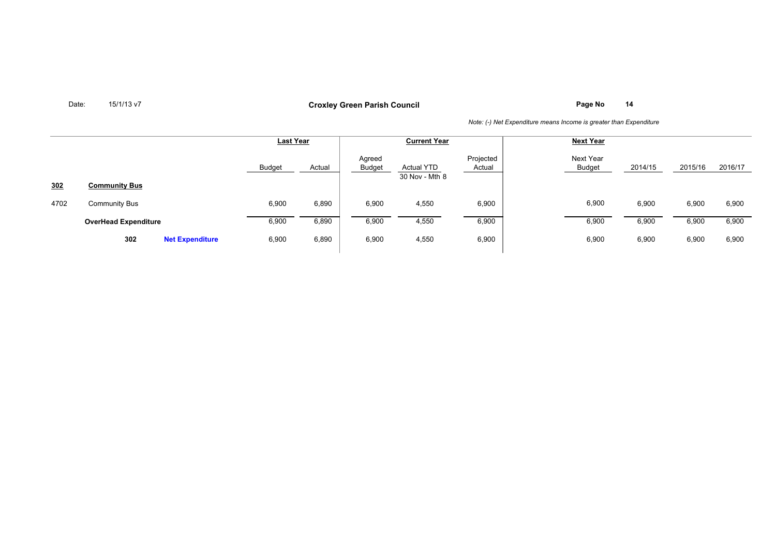**Page No <sup>14</sup> Croxley Green Parish Council**

|                 |                               | <b>Last Year</b> |        | <b>Current Year</b> |                                     |                     | <b>Next Year</b>    |         |         |         |
|-----------------|-------------------------------|------------------|--------|---------------------|-------------------------------------|---------------------|---------------------|---------|---------|---------|
|                 |                               | <b>Budget</b>    | Actual | Agreed<br>Budget    | <b>Actual YTD</b><br>30 Nov - Mth 8 | Projected<br>Actual | Next Year<br>Budget | 2014/15 | 2015/16 | 2016/17 |
| 30 <sub>2</sub> | <b>Community Bus</b>          |                  |        |                     |                                     |                     |                     |         |         |         |
| 4702            | <b>Community Bus</b>          | 6,900            | 6,890  | 6,900               | 4,550                               | 6,900               | 6,900               | 6,900   | 6,900   | 6,900   |
|                 | <b>OverHead Expenditure</b>   | 6,900            | 6,890  | 6,900               | 4,550                               | 6,900               | 6,900               | 6,900   | 6,900   | 6,900   |
|                 | 302<br><b>Net Expenditure</b> | 6,900            | 6,890  | 6,900               | 4,550                               | 6,900               | 6,900               | 6,900   | 6,900   | 6,900   |